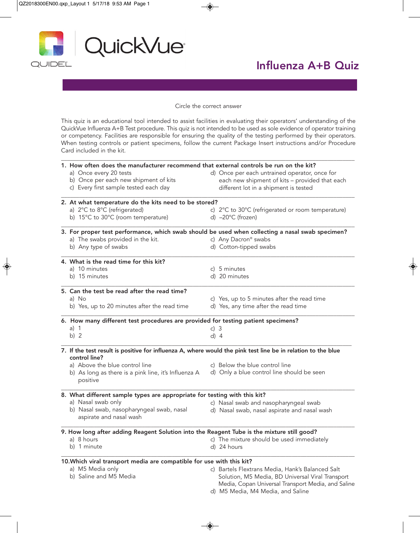

## Influenza A+B Quiz

Circle the correct answer

This quiz is an educational tool intended to assist facilities in evaluating their operators' understanding of the QuickVue Influenza A+B Test procedure. This quiz is not intended to be used as sole evidence of operator training or competency. Facilities are responsible for ensuring the quality of the testing performed by their operators. When testing controls or patient specimens, follow the current Package Insert instructions and/or Procedure Card included in the kit.

\_\_\_\_\_\_\_\_\_\_\_\_\_\_\_\_\_\_\_\_\_\_\_\_\_\_\_\_\_\_\_\_\_\_\_\_\_\_\_\_\_\_\_\_\_\_\_\_\_\_\_\_\_\_\_\_\_\_\_\_\_\_\_\_\_\_\_\_\_\_\_\_\_\_\_\_\_\_\_\_\_\_\_\_\_\_\_\_\_\_\_\_\_\_\_\_\_\_

|  | 1. How often does the manufacturer recommend that external controls be run on the kit?                                        |  |                                                                                       |  |
|--|-------------------------------------------------------------------------------------------------------------------------------|--|---------------------------------------------------------------------------------------|--|
|  | a) Once every 20 tests                                                                                                        |  | d) Once per each untrained operator, once for                                         |  |
|  | b) Once per each new shipment of kits                                                                                         |  | each new shipment of kits - provided that each                                        |  |
|  | c) Every first sample tested each day                                                                                         |  | different lot in a shipment is tested                                                 |  |
|  | 2. At what temperature do the kits need to be stored?                                                                         |  |                                                                                       |  |
|  | a) 2°C to 8°C (refrigerated)                                                                                                  |  | c) 2°C to 30°C (refrigerated or room temperature)                                     |  |
|  | b) 15°C to 30°C (room temperature)                                                                                            |  | d) $-20^{\circ}$ C (frozen)                                                           |  |
|  | 3. For proper test performance, which swab should be used when collecting a nasal swab specimen?                              |  |                                                                                       |  |
|  | a) The swabs provided in the kit.                                                                                             |  | c) Any Dacron® swabs                                                                  |  |
|  | b) Any type of swabs                                                                                                          |  | d) Cotton-tipped swabs                                                                |  |
|  | 4. What is the read time for this kit?                                                                                        |  |                                                                                       |  |
|  | a) 10 minutes                                                                                                                 |  | c) 5 minutes                                                                          |  |
|  | b) 15 minutes                                                                                                                 |  | d) 20 minutes                                                                         |  |
|  | 5. Can the test be read after the read time?                                                                                  |  |                                                                                       |  |
|  | a) No                                                                                                                         |  | c) Yes, up to 5 minutes after the read time                                           |  |
|  | b) Yes, up to 20 minutes after the read time                                                                                  |  | d) Yes, any time after the read time                                                  |  |
|  | 6. How many different test procedures are provided for testing patient specimens?                                             |  |                                                                                       |  |
|  | a) $1$                                                                                                                        |  | c) $3$                                                                                |  |
|  | b) $2$                                                                                                                        |  | d) $4$                                                                                |  |
|  | 7. If the test result is positive for influenza A, where would the pink test line be in relation to the blue<br>control line? |  |                                                                                       |  |
|  | a) Above the blue control line                                                                                                |  | c) Below the blue control line                                                        |  |
|  | b) As long as there is a pink line, it's Influenza A<br>positive                                                              |  | d) Only a blue control line should be seen                                            |  |
|  | 8. What different sample types are appropriate for testing with this kit?                                                     |  |                                                                                       |  |
|  | a) Nasal swab only                                                                                                            |  |                                                                                       |  |
|  | b) Nasal swab, nasopharyngeal swab, nasal                                                                                     |  | c) Nasal swab and nasopharyngeal swab<br>d) Nasal swab, nasal aspirate and nasal wash |  |
|  | aspirate and nasal wash                                                                                                       |  |                                                                                       |  |
|  | 9. How long after adding Reagent Solution into the Reagent Tube is the mixture still good?                                    |  |                                                                                       |  |
|  | a) 8 hours                                                                                                                    |  | c) The mixture should be used immediately                                             |  |
|  | b) 1 minute                                                                                                                   |  | d) 24 hours                                                                           |  |
|  | 10. Which viral transport media are compatible for use with this kit?                                                         |  |                                                                                       |  |
|  | a) M5 Media only                                                                                                              |  | c) Bartels Flextrans Media, Hank's Balanced Salt                                      |  |
|  | b) Saline and M5 Media                                                                                                        |  | Solution, M5 Media, BD Universal Viral Transport                                      |  |
|  |                                                                                                                               |  | Media, Copan Universal Transport Media, and Saline                                    |  |
|  |                                                                                                                               |  | d) M5 Media, M4 Media, and Saline                                                     |  |
|  |                                                                                                                               |  |                                                                                       |  |